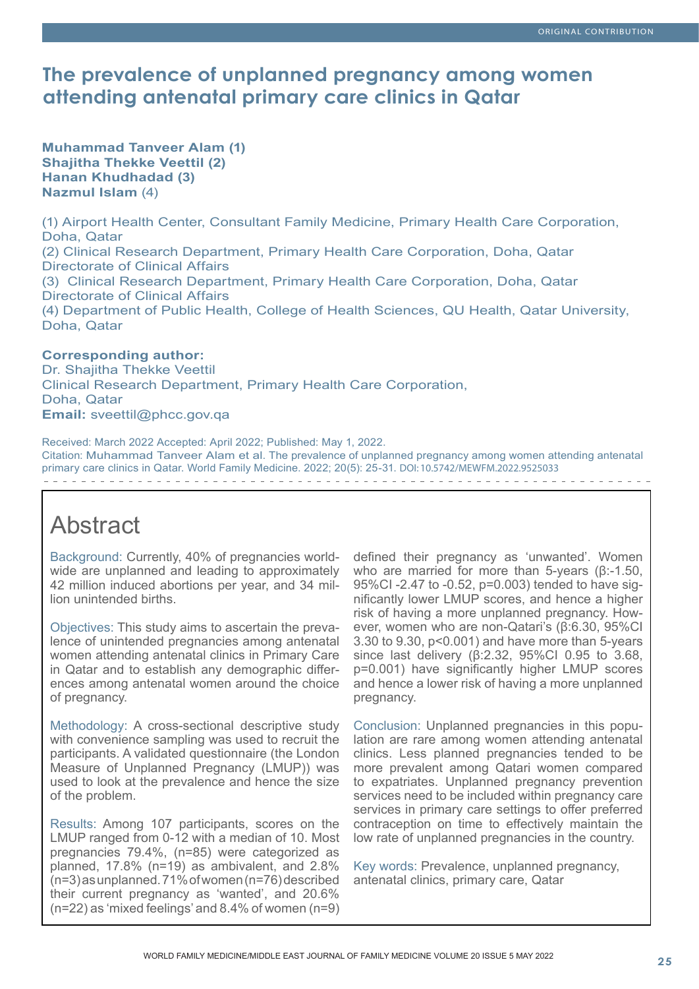# **The prevalence of unplanned pregnancy among women attending antenatal primary care clinics in Qatar**

**Muhammad Tanveer Alam (1) Shajitha Thekke Veettil (2) Hanan Khudhadad (3) Nazmul Islam** (4)

(1) Airport Health Center, Consultant Family Medicine, Primary Health Care Corporation, Doha, Qatar (2) Clinical Research Department, Primary Health Care Corporation, Doha, Qatar Directorate of Clinical Affairs (3) Clinical Research Department, Primary Health Care Corporation, Doha, Qatar Directorate of Clinical Affairs (4) Department of Public Health, College of Health Sciences, QU Health, Qatar University, Doha, Qatar

### **Corresponding author:**

Dr. Shajitha Thekke Veettil Clinical Research Department, Primary Health Care Corporation, Doha, Qatar **Email:** sveettil@phcc.gov.qa

Received: March 2022 Accepted: April 2022; Published: May 1, 2022. Citation: Muhammad Tanveer Alam et al. The prevalence of unplanned pregnancy among women attending antenatal primary care clinics in Qatar. World Family Medicine. 2022; 20(5): 25-31. DOI: 10.5742/MEWFM.2022.9525033 

# Abstract

Background: Currently, 40% of pregnancies worldwide are unplanned and leading to approximately 42 million induced abortions per year, and 34 million unintended births.

Objectives: This study aims to ascertain the prevalence of unintended pregnancies among antenatal women attending antenatal clinics in Primary Care in Qatar and to establish any demographic differences among antenatal women around the choice of pregnancy.

Methodology: A cross-sectional descriptive study with convenience sampling was used to recruit the participants. A validated questionnaire (the London Measure of Unplanned Pregnancy (LMUP)) was used to look at the prevalence and hence the size of the problem.

Results: Among 107 participants, scores on the LMUP ranged from 0-12 with a median of 10. Most pregnancies 79.4%, (n=85) were categorized as planned, 17.8% (n=19) as ambivalent, and 2.8% (n=3) as unplanned. 71% of women (n=76) described their current pregnancy as 'wanted', and 20.6% (n=22) as 'mixed feelings' and 8.4% of women (n=9)

defined their pregnancy as 'unwanted'. Women who are married for more than 5-years (β:-1.50, 95%CI -2.47 to -0.52, p=0.003) tended to have significantly lower LMUP scores, and hence a higher risk of having a more unplanned pregnancy. However, women who are non-Qatari's (β:6.30, 95%CI 3.30 to 9.30, p<0.001) and have more than 5-years since last delivery (β:2.32, 95%CI 0.95 to 3.68, p=0.001) have significantly higher LMUP scores and hence a lower risk of having a more unplanned pregnancy.

Conclusion: Unplanned pregnancies in this population are rare among women attending antenatal clinics. Less planned pregnancies tended to be more prevalent among Qatari women compared to expatriates. Unplanned pregnancy prevention services need to be included within pregnancy care services in primary care settings to offer preferred contraception on time to effectively maintain the low rate of unplanned pregnancies in the country.

Key words: Prevalence, unplanned pregnancy, antenatal clinics, primary care, Qatar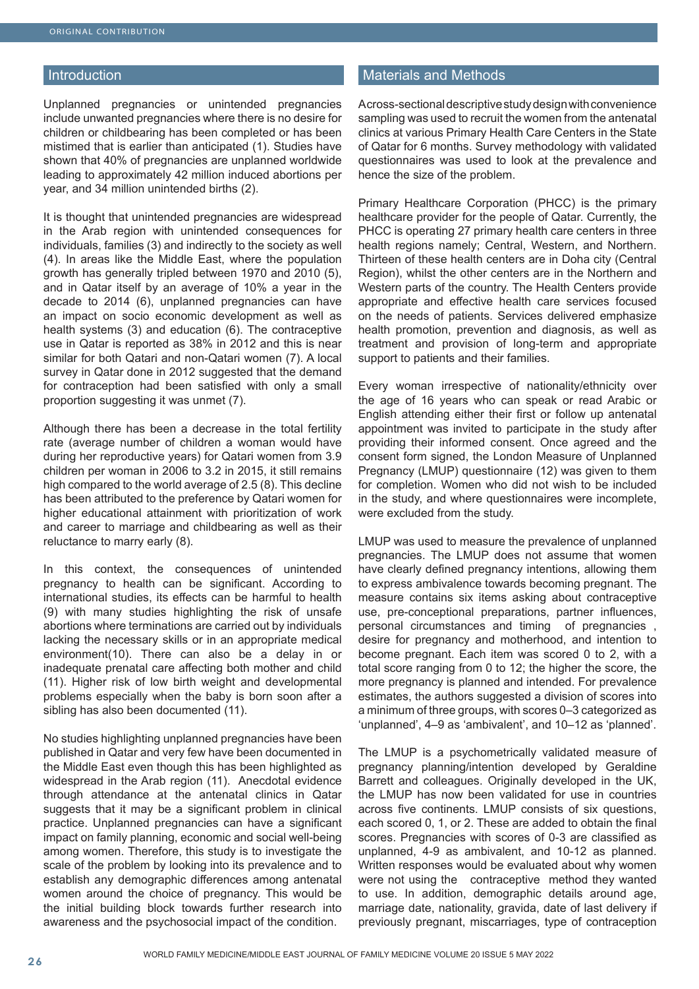#### Introduction

Unplanned pregnancies or unintended pregnancies include unwanted pregnancies where there is no desire for children or childbearing has been completed or has been mistimed that is earlier than anticipated (1). Studies have shown that 40% of pregnancies are unplanned worldwide leading to approximately 42 million induced abortions per year, and 34 million unintended births (2).

It is thought that unintended pregnancies are widespread in the Arab region with unintended consequences for individuals, families (3) and indirectly to the society as well (4). In areas like the Middle East, where the population growth has generally tripled between 1970 and 2010 (5), and in Qatar itself by an average of 10% a year in the decade to 2014 (6), unplanned pregnancies can have an impact on socio economic development as well as health systems (3) and education (6). The contraceptive use in Qatar is reported as 38% in 2012 and this is near similar for both Qatari and non-Qatari women (7). A local survey in Qatar done in 2012 suggested that the demand for contraception had been satisfied with only a small proportion suggesting it was unmet (7).

Although there has been a decrease in the total fertility rate (average number of children a woman would have during her reproductive years) for Qatari women from 3.9 children per woman in 2006 to 3.2 in 2015, it still remains high compared to the world average of 2.5 (8). This decline has been attributed to the preference by Qatari women for higher educational attainment with prioritization of work and career to marriage and childbearing as well as their reluctance to marry early (8).

In this context, the consequences of unintended pregnancy to health can be significant. According to international studies, its effects can be harmful to health (9) with many studies highlighting the risk of unsafe abortions where terminations are carried out by individuals lacking the necessary skills or in an appropriate medical environment(10). There can also be a delay in or inadequate prenatal care affecting both mother and child (11). Higher risk of low birth weight and developmental problems especially when the baby is born soon after a sibling has also been documented (11).

No studies highlighting unplanned pregnancies have been published in Qatar and very few have been documented in the Middle East even though this has been highlighted as widespread in the Arab region (11). Anecdotal evidence through attendance at the antenatal clinics in Qatar suggests that it may be a significant problem in clinical practice. Unplanned pregnancies can have a significant impact on family planning, economic and social well-being among women. Therefore, this study is to investigate the scale of the problem by looking into its prevalence and to establish any demographic differences among antenatal women around the choice of pregnancy. This would be the initial building block towards further research into awareness and the psychosocial impact of the condition.

## Materials and Methods

A cross-sectional descriptive study design with convenience sampling was used to recruit the women from the antenatal clinics at various Primary Health Care Centers in the State of Qatar for 6 months. Survey methodology with validated questionnaires was used to look at the prevalence and hence the size of the problem.

Primary Healthcare Corporation (PHCC) is the primary healthcare provider for the people of Qatar. Currently, the PHCC is operating 27 primary health care centers in three health regions namely; Central, Western, and Northern. Thirteen of these health centers are in Doha city (Central Region), whilst the other centers are in the Northern and Western parts of the country. The Health Centers provide appropriate and effective health care services focused on the needs of patients. Services delivered emphasize health promotion, prevention and diagnosis, as well as treatment and provision of long-term and appropriate support to patients and their families.

Every woman irrespective of nationality/ethnicity over the age of 16 years who can speak or read Arabic or English attending either their first or follow up antenatal appointment was invited to participate in the study after providing their informed consent. Once agreed and the consent form signed, the London Measure of Unplanned Pregnancy (LMUP) questionnaire (12) was given to them for completion. Women who did not wish to be included in the study, and where questionnaires were incomplete, were excluded from the study.

LMUP was used to measure the prevalence of unplanned pregnancies. The LMUP does not assume that women have clearly defined pregnancy intentions, allowing them to express ambivalence towards becoming pregnant. The measure contains six items asking about contraceptive use, pre-conceptional preparations, partner influences, personal circumstances and timing of pregnancies , desire for pregnancy and motherhood, and intention to become pregnant. Each item was scored 0 to 2, with a total score ranging from 0 to 12; the higher the score, the more pregnancy is planned and intended. For prevalence estimates, the authors suggested a division of scores into a minimum of three groups, with scores 0–3 categorized as 'unplanned', 4–9 as 'ambivalent', and 10–12 as 'planned'.

The LMUP is a psychometrically validated measure of pregnancy planning/intention developed by Geraldine Barrett and colleagues. Originally developed in the UK, the LMUP has now been validated for use in countries across five continents. LMUP consists of six questions, each scored 0, 1, or 2. These are added to obtain the final scores. Pregnancies with scores of 0-3 are classified as unplanned, 4-9 as ambivalent, and 10-12 as planned. Written responses would be evaluated about why women were not using the contraceptive method they wanted to use. In addition, demographic details around age, marriage date, nationality, gravida, date of last delivery if previously pregnant, miscarriages, type of contraception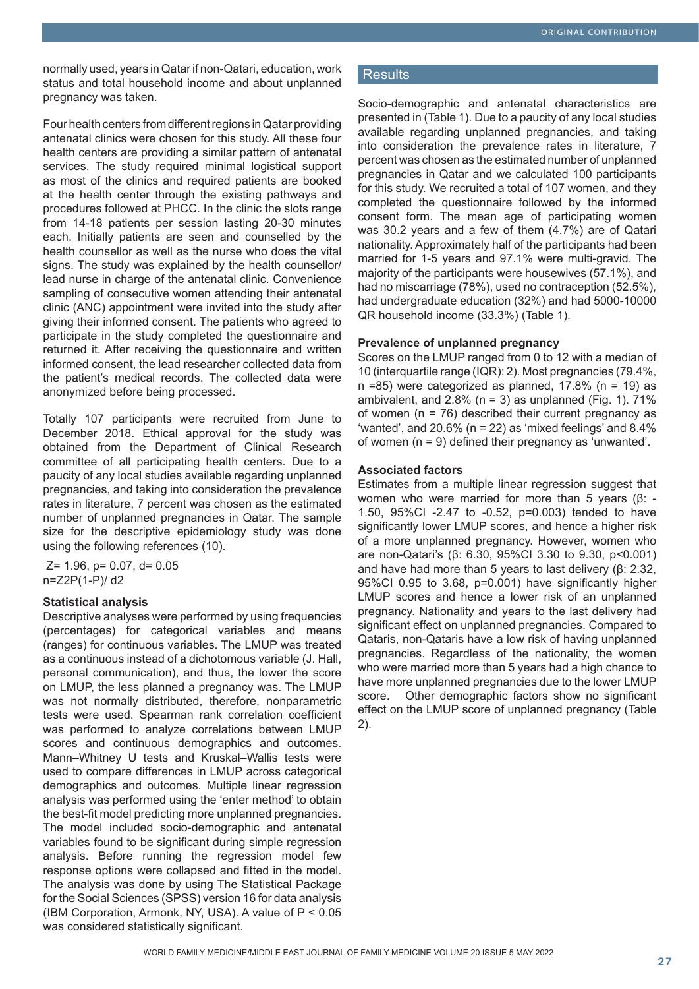normally used, years in Qatar if non-Qatari, education, work status and total household income and about unplanned pregnancy was taken.

Four health centers from different regions in Qatar providing antenatal clinics were chosen for this study. All these four health centers are providing a similar pattern of antenatal services. The study required minimal logistical support as most of the clinics and required patients are booked at the health center through the existing pathways and procedures followed at PHCC. In the clinic the slots range from 14-18 patients per session lasting 20-30 minutes each. Initially patients are seen and counselled by the health counsellor as well as the nurse who does the vital signs. The study was explained by the health counsellor/ lead nurse in charge of the antenatal clinic. Convenience sampling of consecutive women attending their antenatal clinic (ANC) appointment were invited into the study after giving their informed consent. The patients who agreed to participate in the study completed the questionnaire and returned it. After receiving the questionnaire and written informed consent, the lead researcher collected data from the patient's medical records. The collected data were anonymized before being processed.

Totally 107 participants were recruited from June to December 2018. Ethical approval for the study was obtained from the Department of Clinical Research committee of all participating health centers. Due to a paucity of any local studies available regarding unplanned pregnancies, and taking into consideration the prevalence rates in literature, 7 percent was chosen as the estimated number of unplanned pregnancies in Qatar. The sample size for the descriptive epidemiology study was done using the following references (10).

 Z= 1.96, p= 0.07, d= 0.05 n=Z2P(1-P)/ d2

#### **Statistical analysis**

Descriptive analyses were performed by using frequencies (percentages) for categorical variables and means (ranges) for continuous variables. The LMUP was treated as a continuous instead of a dichotomous variable (J. Hall, personal communication), and thus, the lower the score on LMUP, the less planned a pregnancy was. The LMUP was not normally distributed, therefore, nonparametric tests were used. Spearman rank correlation coefficient was performed to analyze correlations between LMUP scores and continuous demographics and outcomes. Mann–Whitney U tests and Kruskal–Wallis tests were used to compare differences in LMUP across categorical demographics and outcomes. Multiple linear regression analysis was performed using the 'enter method' to obtain the best-fit model predicting more unplanned pregnancies. The model included socio-demographic and antenatal variables found to be significant during simple regression analysis. Before running the regression model few response options were collapsed and fitted in the model. The analysis was done by using The Statistical Package for the Social Sciences (SPSS) version 16 for data analysis (IBM Corporation, Armonk, NY, USA). A value of P < 0.05 was considered statistically significant.

# **Results**

Socio-demographic and antenatal characteristics are presented in (Table 1). Due to a paucity of any local studies available regarding unplanned pregnancies, and taking into consideration the prevalence rates in literature, 7 percent was chosen as the estimated number of unplanned pregnancies in Qatar and we calculated 100 participants for this study. We recruited a total of 107 women, and they completed the questionnaire followed by the informed consent form. The mean age of participating women was 30.2 years and a few of them (4.7%) are of Qatari nationality. Approximately half of the participants had been married for 1-5 years and 97.1% were multi-gravid. The majority of the participants were housewives (57.1%), and had no miscarriage (78%), used no contraception (52.5%). had undergraduate education (32%) and had 5000-10000 QR household income (33.3%) (Table 1).

### **Prevalence of unplanned pregnancy**

Scores on the LMUP ranged from 0 to 12 with a median of 10 (interquartile range (IQR): 2). Most pregnancies (79.4%,  $n = 85$ ) were categorized as planned, 17.8% ( $n = 19$ ) as ambivalent, and  $2.8\%$  (n = 3) as unplanned (Fig. 1).  $71\%$ of women  $(n = 76)$  described their current pregnancy as 'wanted', and 20.6% ( $n = 22$ ) as 'mixed feelings' and 8.4% of women (n = 9) defined their pregnancy as 'unwanted'.

### **Associated factors**

Estimates from a multiple linear regression suggest that women who were married for more than 5 years (β: - 1.50, 95%CI -2.47 to -0.52, p=0.003) tended to have significantly lower LMUP scores, and hence a higher risk of a more unplanned pregnancy. However, women who are non-Qatari's (β: 6.30, 95%CI 3.30 to 9.30, p<0.001) and have had more than 5 years to last delivery (β: 2.32, 95%CI 0.95 to 3.68, p=0.001) have significantly higher LMUP scores and hence a lower risk of an unplanned pregnancy. Nationality and years to the last delivery had significant effect on unplanned pregnancies. Compared to Qataris, non-Qataris have a low risk of having unplanned pregnancies. Regardless of the nationality, the women who were married more than 5 years had a high chance to have more unplanned pregnancies due to the lower LMUP score. Other demographic factors show no significant effect on the LMUP score of unplanned pregnancy (Table 2).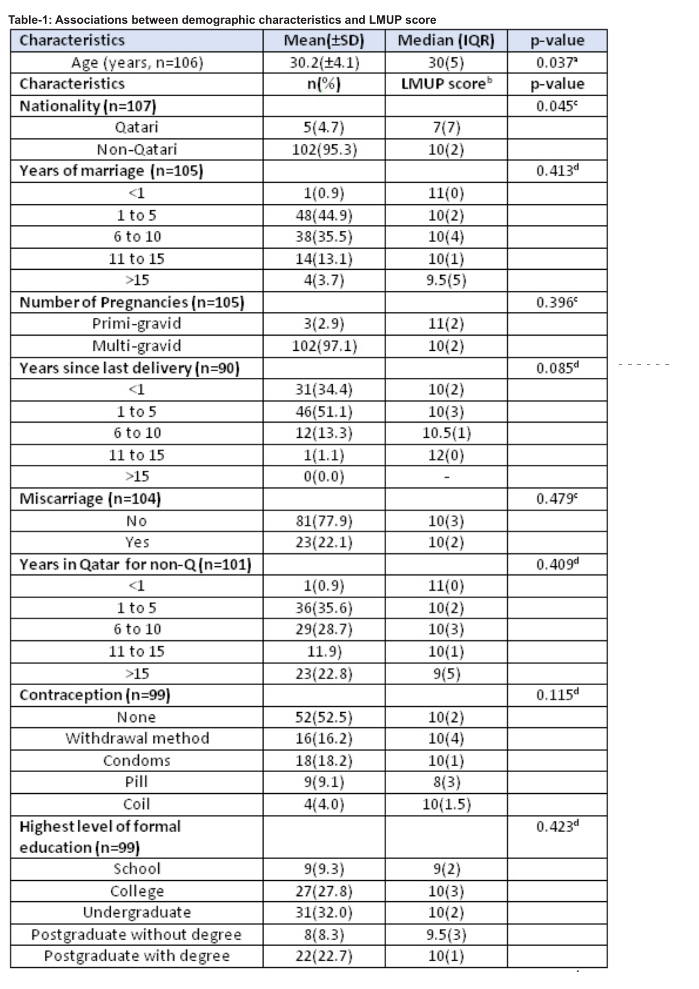**Table-1: Associations between demographic characteristics and LMUP score**

| Characteristics                  | Mean(±SD)       | Median (IQR) | p-value              |
|----------------------------------|-----------------|--------------|----------------------|
| Age (years, n=106)               | $30.2(\pm 4.1)$ | 30(5)        | 0.037                |
| Characteristics                  | n(%)            | LMUP scoreb  | p-value              |
| Nationality (n=107)              |                 |              | 0.045c               |
| Qatari                           | 5(4.7)          | 7(7)         |                      |
| Non-Qatari                       | 102(95.3)       | 10(2)        |                      |
| Years of marriage (n=105)        |                 |              | 0.413 <sup>d</sup>   |
| $<\!\!1$                         | 1(0.9)          | 11(0)        |                      |
| 1 to 5                           | 48(44.9)        | 10(2)        |                      |
| 6 to 10                          | 38(35.5)        | 10(4)        |                      |
| 11 to 15                         | 14(13.1)        | 10(1)        |                      |
| >15                              | 4(3.7)          | 9.5(5)       |                      |
| Number of Pregnancies (n=105)    |                 |              | 0.396c               |
| Primi-gravid                     | 3(2.9)          | 11(2)        |                      |
| Multi-gravid                     | 102(97.1)       | 10(2)        |                      |
| Years since last delivery (n=90) |                 |              | $0.085$ <sup>d</sup> |
| $<\!\!1$                         | 31(34.4)        | 10(2)        |                      |
| 1 to 5                           | 46(51.1)        | 10(3)        |                      |
| 6 to 10                          | 12(13.3)        | 10.5(1)      |                      |
| 11 to 15                         | 1(1.1)          | 12(0)        |                      |
| >15                              | 0(0.0)          |              |                      |
| Miscarriage (n=104)              |                 |              | 0.479c               |
| Νo                               | 81(77.9)        | 10(3)        |                      |
| Yes                              | 23(22.1)        | 10(2)        |                      |
| Years in Qatar for non-Q (n=101) |                 |              | 0.409 <sup>d</sup>   |
| $<$ 1                            | 1(0.9)          | 11(0)        |                      |
| 1 to 5                           | 36(35.6)        | 10(2)        |                      |
| 6 to 10                          | 29(28.7)        | 10(3)        |                      |
| 11 to 15                         | (11.9)          | 10(1)        |                      |
| >15                              | 23(22.8)        | 9(5)         |                      |
| Contraception (n=99)             |                 |              | $0.115^{d}$          |
| None                             | 52(52.5)        | 10(2)        |                      |
| Withdrawal method                | 16(16.2)        | 10(4)        |                      |
| Condoms                          | 18(18.2)        | 10(1)        |                      |
| Pill                             | 9(9.1)          | 8(3)         |                      |
| Coil                             | 4(4.0)          | 10(1.5)      |                      |
| Highest level of formal          |                 |              | 0.423 <sup>d</sup>   |
| education (n=99)                 |                 |              |                      |
| School                           | 9(9.3)          | 9(2)         |                      |
| College                          | 27(27.8)        | 10(3)        |                      |
| Undergraduate                    | 31(32.0)        | 10(2)        |                      |
| Postgraduate without degree      | 8(8.3)          | 9.5(3)       |                      |
| Postgraduate with degree         | 22(22.7)        | 10(1)        |                      |

 $\frac{1}{2} \left( \frac{1}{2} \right) \left( \frac{1}{2} \right) \left( \frac{1}{2} \right) \left( \frac{1}{2} \right) \left( \frac{1}{2} \right) \left( \frac{1}{2} \right)$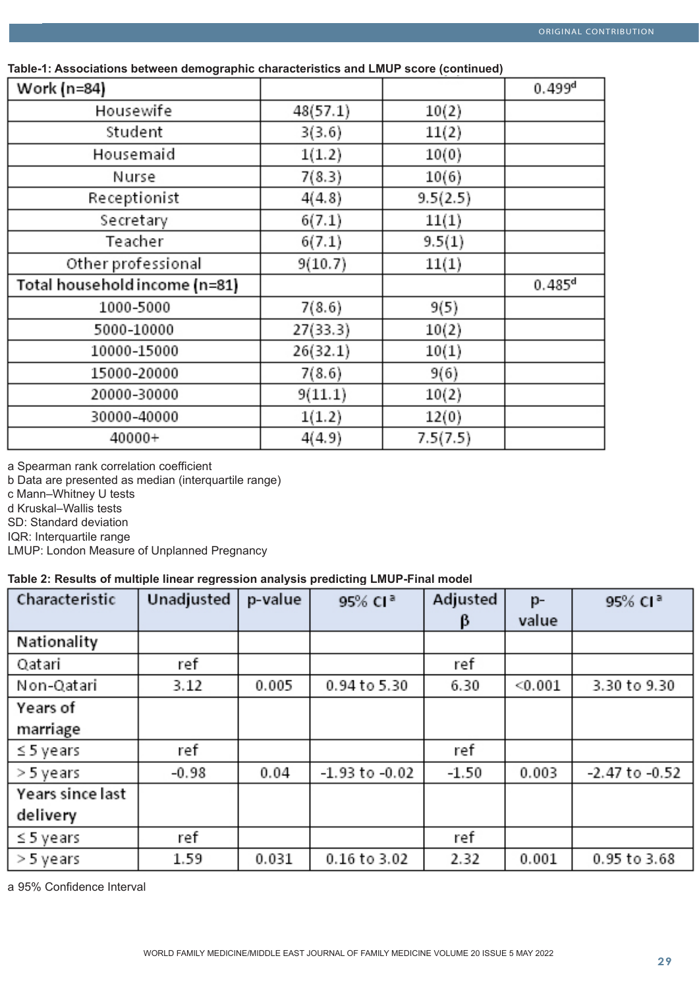| Work (n=84)                   |          |          | 0.499 <sup>d</sup>   |
|-------------------------------|----------|----------|----------------------|
| Housewife                     | 48(57.1) | 10(2)    |                      |
| Student                       | 3(3.6)   | 11(2)    |                      |
| Housemaid                     | 1(1.2)   | 10(0)    |                      |
| Nurse                         | 7(8.3)   | 10(6)    |                      |
| Receptionist                  | 4(4.8)   | 9.5(2.5) |                      |
| Secretary                     | 6(7.1)   | 11(1)    |                      |
| Teacher                       | 6(7.1)   | 9.5(1)   |                      |
| Other professional            | 9(10.7)  | 11(1)    |                      |
| Total household income (n=81) |          |          | $0.485$ <sup>d</sup> |
| 1000-5000                     | 7(8.6)   | 9(5)     |                      |
| 5000-10000                    | 27(33.3) | 10(2)    |                      |
| 10000-15000                   | 26(32.1) | 10(1)    |                      |
| 15000-20000                   | 7(8.6)   | 9(6)     |                      |
| 20000-30000                   | 9(11.1)  | 10(2)    |                      |
| 30000-40000                   | 1(1.2)   | 12(0)    |                      |
| 40000+                        | 4(4.9)   | 7.5(7.5) |                      |

 **Table-1: Associations between demographic characteristics and LMUP score (continued)**

a Spearman rank correlation coefficient

b Data are presented as median (interquartile range)

c Mann–Whitney U tests

d Kruskal–Wallis tests

SD: Standard deviation

IQR: Interquartile range

LMUP: London Measure of Unplanned Pregnancy

# **Table 2: Results of multiple linear regression analysis predicting LMUP-Final model**

| Characteristic   | Unadjusted | p-value | 95% CI <sup>a</sup> | Adjusted | p-      | 95% CI <sup>a</sup> |
|------------------|------------|---------|---------------------|----------|---------|---------------------|
|                  |            |         |                     | β        | value   |                     |
| Nationality      |            |         |                     |          |         |                     |
| Qatari           | ref        |         |                     | ref      |         |                     |
| Non-Qatari       | 3.12       | 0.005   | 0.94 to 5.30        | 6.30     | < 0.001 | 3.30 to 9.30        |
| Years of         |            |         |                     |          |         |                     |
| marriage         |            |         |                     |          |         |                     |
| $\leq$ 5 years   | ref        |         |                     | ref      |         |                     |
| > 5 years        | -0.98      | 0.04    | -1.93 to -0.02      | $-1.50$  | 0.003   | $-2.47$ to $-0.52$  |
| Years since last |            |         |                     |          |         |                     |
| delivery         |            |         |                     |          |         |                     |
| $\leq$ 5 years   | ref        |         |                     | ref      |         |                     |
| > 5 years        | 1.59       | 0.031   | 0.16 to 3.02        | 2.32     | 0.001   | 0.95 to 3.68        |

a 95% Confidence Interval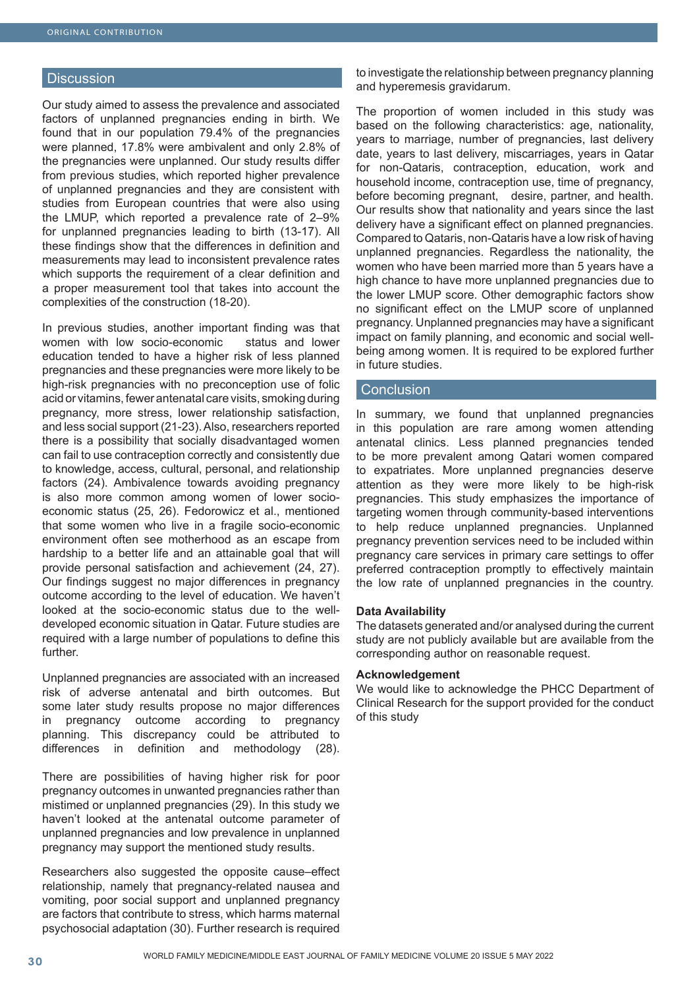#### **Discussion**

Our study aimed to assess the prevalence and associated factors of unplanned pregnancies ending in birth. We found that in our population 79.4% of the pregnancies were planned, 17.8% were ambivalent and only 2.8% of the pregnancies were unplanned. Our study results differ from previous studies, which reported higher prevalence of unplanned pregnancies and they are consistent with studies from European countries that were also using the LMUP, which reported a prevalence rate of 2–9% for unplanned pregnancies leading to birth (13-17). All these findings show that the differences in definition and measurements may lead to inconsistent prevalence rates which supports the requirement of a clear definition and a proper measurement tool that takes into account the complexities of the construction (18-20).

In previous studies, another important finding was that women with low socio-economic status and lower education tended to have a higher risk of less planned pregnancies and these pregnancies were more likely to be high-risk pregnancies with no preconception use of folic acid or vitamins, fewer antenatal care visits, smoking during pregnancy, more stress, lower relationship satisfaction, and less social support (21-23). Also, researchers reported there is a possibility that socially disadvantaged women can fail to use contraception correctly and consistently due to knowledge, access, cultural, personal, and relationship factors (24). Ambivalence towards avoiding pregnancy is also more common among women of lower socioeconomic status (25, 26). Fedorowicz et al., mentioned that some women who live in a fragile socio-economic environment often see motherhood as an escape from hardship to a better life and an attainable goal that will provide personal satisfaction and achievement (24, 27). Our findings suggest no major differences in pregnancy outcome according to the level of education. We haven't looked at the socio-economic status due to the welldeveloped economic situation in Qatar. Future studies are required with a large number of populations to define this further.

Unplanned pregnancies are associated with an increased risk of adverse antenatal and birth outcomes. But some later study results propose no major differences in pregnancy outcome according to pregnancy planning. This discrepancy could be attributed to differences in definition and methodology (28).

There are possibilities of having higher risk for poor pregnancy outcomes in unwanted pregnancies rather than mistimed or unplanned pregnancies (29). In this study we haven't looked at the antenatal outcome parameter of unplanned pregnancies and low prevalence in unplanned pregnancy may support the mentioned study results.

Researchers also suggested the opposite cause–effect relationship, namely that pregnancy-related nausea and vomiting, poor social support and unplanned pregnancy are factors that contribute to stress, which harms maternal psychosocial adaptation (30). Further research is required to investigate the relationship between pregnancy planning and hyperemesis gravidarum.

The proportion of women included in this study was based on the following characteristics: age, nationality, years to marriage, number of pregnancies, last delivery date, years to last delivery, miscarriages, years in Qatar for non-Qataris, contraception, education, work and household income, contraception use, time of pregnancy, before becoming pregnant, desire, partner, and health. Our results show that nationality and years since the last delivery have a significant effect on planned pregnancies. Compared to Qataris, non-Qataris have a low risk of having unplanned pregnancies. Regardless the nationality, the women who have been married more than 5 years have a high chance to have more unplanned pregnancies due to the lower LMUP score. Other demographic factors show no significant effect on the LMUP score of unplanned pregnancy. Unplanned pregnancies may have a significant impact on family planning, and economic and social wellbeing among women. It is required to be explored further in future studies.

#### **Conclusion**

In summary, we found that unplanned pregnancies in this population are rare among women attending antenatal clinics. Less planned pregnancies tended to be more prevalent among Qatari women compared to expatriates. More unplanned pregnancies deserve attention as they were more likely to be high-risk pregnancies. This study emphasizes the importance of targeting women through community-based interventions to help reduce unplanned pregnancies. Unplanned pregnancy prevention services need to be included within pregnancy care services in primary care settings to offer preferred contraception promptly to effectively maintain the low rate of unplanned pregnancies in the country.

#### **Data Availability**

The datasets generated and/or analysed during the current study are not publicly available but are available from the corresponding author on reasonable request.

#### **Acknowledgement**

We would like to acknowledge the PHCC Department of Clinical Research for the support provided for the conduct of this study